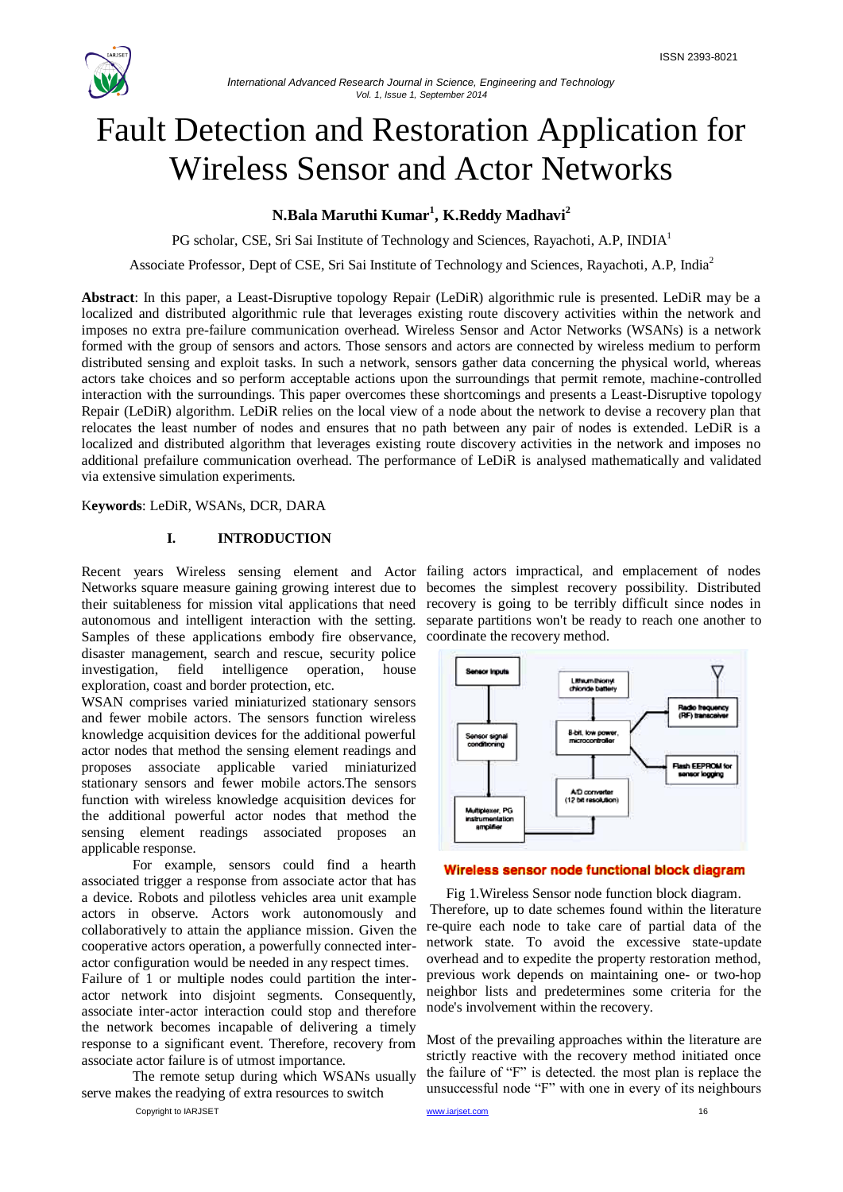

# Fault Detection and Restoration Application for Wireless Sensor and Actor Networks

# **N.Bala Maruthi Kumar<sup>1</sup> , K.Reddy Madhavi<sup>2</sup>**

PG scholar, CSE, Sri Sai Institute of Technology and Sciences, Rayachoti, A.P, INDIA<sup>1</sup>

Associate Professor, Dept of CSE, Sri Sai Institute of Technology and Sciences, Rayachoti, A.P, India<sup>2</sup>

**Abstract**: In this paper, a Least-Disruptive topology Repair (LeDiR) algorithmic rule is presented. LeDiR may be a localized and distributed algorithmic rule that leverages existing route discovery activities within the network and imposes no extra pre-failure communication overhead. Wireless Sensor and Actor Networks (WSANs) is a network formed with the group of sensors and actors. Those sensors and actors are connected by wireless medium to perform distributed sensing and exploit tasks. In such a network, sensors gather data concerning the physical world, whereas actors take choices and so perform acceptable actions upon the surroundings that permit remote, machine-controlled interaction with the surroundings. This paper overcomes these shortcomings and presents a Least-Disruptive topology Repair (LeDiR) algorithm. LeDiR relies on the local view of a node about the network to devise a recovery plan that relocates the least number of nodes and ensures that no path between any pair of nodes is extended. LeDiR is a localized and distributed algorithm that leverages existing route discovery activities in the network and imposes no additional prefailure communication overhead. The performance of LeDiR is analysed mathematically and validated via extensive simulation experiments.

K**eywords**: LeDiR, WSANs, DCR, DARA

#### **I. INTRODUCTION**

their suitableness for mission vital applications that need recovery is going to be terribly difficult since nodes in Samples of these applications embody fire observance, coordinate the recovery method. disaster management, search and rescue, security police investigation, field intelligence operation, house exploration, coast and border protection, etc.

WSAN comprises varied miniaturized stationary sensors and fewer mobile actors. The sensors function wireless knowledge acquisition devices for the additional powerful actor nodes that method the sensing element readings and proposes associate applicable varied miniaturized stationary sensors and fewer mobile actors.The sensors function with wireless knowledge acquisition devices for the additional powerful actor nodes that method the sensing element readings associated proposes an applicable response.

For example, sensors could find a hearth associated trigger a response from associate actor that has a device. Robots and pilotless vehicles area unit example actors in observe. Actors work autonomously and collaboratively to attain the appliance mission. Given the cooperative actors operation, a powerfully connected interactor configuration would be needed in any respect times. Failure of 1 or multiple nodes could partition the interactor network into disjoint segments. Consequently, associate inter-actor interaction could stop and therefore the network becomes incapable of delivering a timely response to a significant event. Therefore, recovery from associate actor failure is of utmost importance.

The remote setup during which WSANs usually serve makes the readying of extra resources to switch

Copyright to IARJSET **www.iariset.com** www.iariset.com **16** 

Recent years Wireless sensing element and Actor failing actors impractical, and emplacement of nodes Networks square measure gaining growing interest due to becomes the simplest recovery possibility. Distributed autonomous and intelligent interaction with the setting. separate partitions won't be ready to reach one another to



#### Wireless sensor node functional block diagram

Fig 1.Wireless Sensor node function block diagram. Therefore, up to date schemes found within the literature re-quire each node to take care of partial data of the network state. To avoid the excessive state-update overhead and to expedite the property restoration method, previous work depends on maintaining one- or two-hop neighbor lists and predetermines some criteria for the node's involvement within the recovery.

Most of the prevailing approaches within the literature are strictly reactive with the recovery method initiated once the failure of  $F$  is detected, the most plan is replace the unsuccessful node "F" with one in every of its neighbours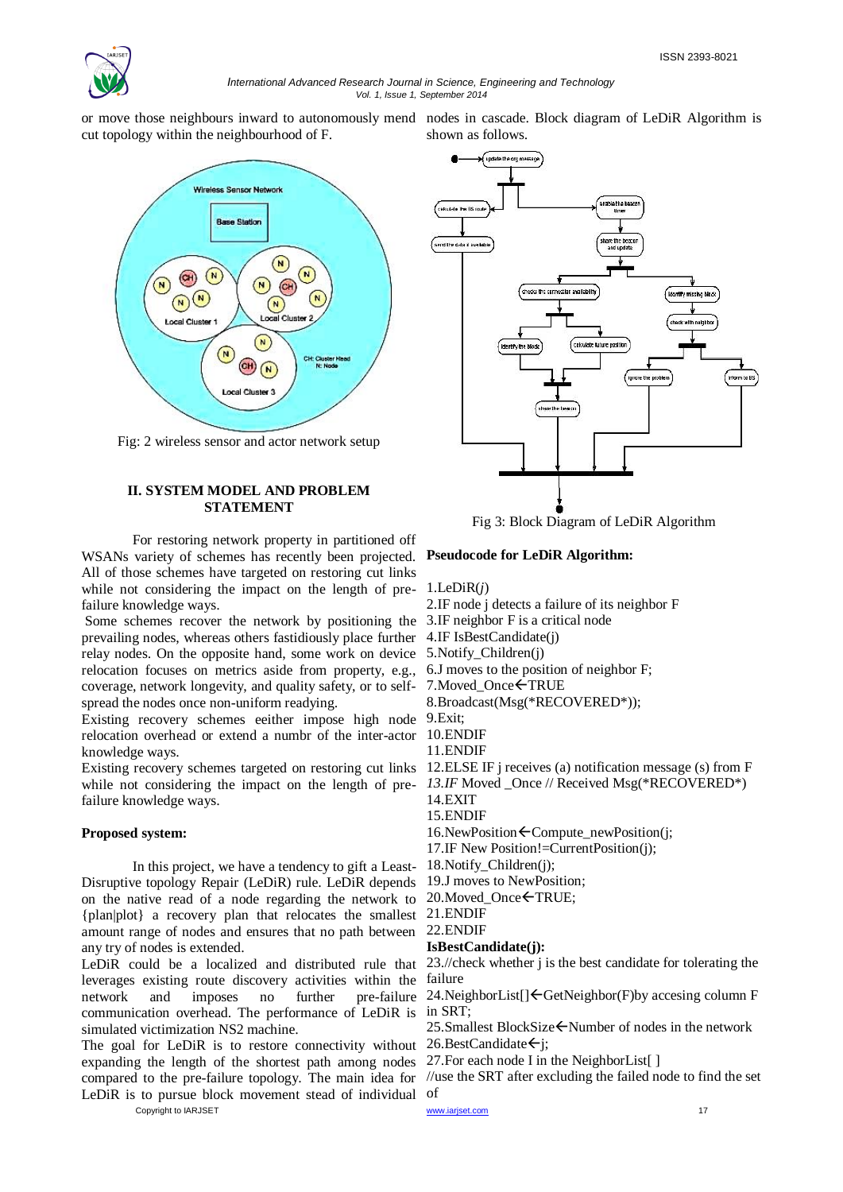

#### *International Advanced Research Journal in Science, Engineering and Technology Vol. 1, Issue 1, September 2014*

shown as follows.

or move those neighbours inward to autonomously mend nodes in cascade. Block diagram of LeDiR Algorithm is cut topology within the neighbourhood of F.



Fig: 2 wireless sensor and actor network setup

# **II. SYSTEM MODEL AND PROBLEM STATEMENT**



For restoring network property in partitioned off WSANs variety of schemes has recently been projected. All of those schemes have targeted on restoring cut links while not considering the impact on the length of prefailure knowledge ways.

Some schemes recover the network by positioning the 3.IF neighbor F is a critical node prevailing nodes, whereas others fastidiously place further 4.IF IsBestCandidate(j) relay nodes. On the opposite hand, some work on device 5.Notify\_Children(j) relocation focuses on metrics aside from property, e.g., coverage, network longevity, and quality safety, or to selfspread the nodes once non-uniform readying.

Existing recovery schemes eeither impose high node 9.Exit; relocation overhead or extend a numbr of the inter-actor 10.ENDIF knowledge ways.

Existing recovery schemes targeted on restoring cut links 12.ELSE IF j receives (a) notification message (s) from F while not considering the impact on the length of pre- 13.IF Moved \_Once // Received Msg(\*RECOVERED\*) failure knowledge ways.

# **Proposed system:**

In this project, we have a tendency to gift a Least-Disruptive topology Repair (LeDiR) rule. LeDiR depends on the native read of a node regarding the network to {plan|plot} a recovery plan that relocates the smallest 21.ENDIF amount range of nodes and ensures that no path between 22.ENDIF any try of nodes is extended.

leverages existing route discovery activities within the failure network and imposes no further pre-failure 24.NeighborList[]<GetNeighbor(F)by accesing column F communication overhead. The performance of LeDiR is in SRT; simulated victimization NS2 machine.

Copyright to IARJSET **17** and 17 and 17 and 17 and 17 and 17 and 17 and 17 and 17 and 17 and 17 and 17 and 17 and 17 and 17 and 17 and 17 and 17 and 17 and 17 and 17 and 17 and 17 and 17 and 17 and 17 and 17 and 17 and 17 The goal for LeDiR is to restore connectivity without 26.BestCandidate $\leftarrow$ j; expanding the length of the shortest path among nodes 27.For each node I in the NeighborList[ ] LeDiR is to pursue block movement stead of individual of

**Pseudocode for LeDiR Algorithm:**

1.LeDiR(*j*)

2.IF node j detects a failure of its neighbor F

6.J moves to the position of neighbor F;

7. Moved Once  $\leftarrow$  TRUE

8.Broadcast(Msg(\*RECOVERED\*));

11.ENDIF

14.EXIT

15.ENDIF

16.NewPosition $\leftarrow$ Compute newPosition(j;

17.IF New Position!=CurrentPosition(j);

18.Notify\_Children(j);

19.J moves to NewPosition;

20. Moved Once ← TRUE;

# **IsBestCandidate(j):**

LeDiR could be a localized and distributed rule that 23.//check whether j is the best candidate for tolerating the

25.Smallest BlockSize ← Number of nodes in the network

compared to the pre-failure topology. The main idea for //use the SRT after excluding the failed node to find the set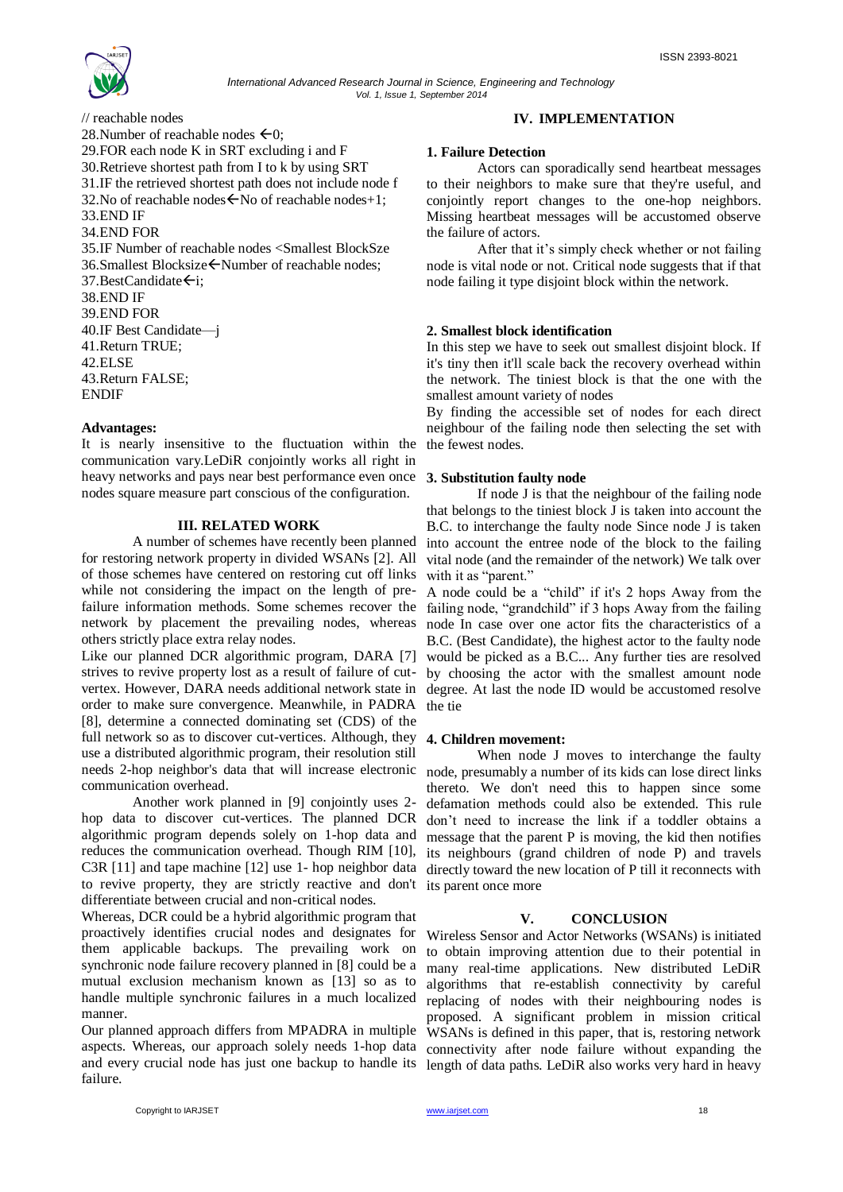

// reachable nodes 28. Number of reachable nodes  $\leftarrow 0$ ; 29.FOR each node K in SRT excluding i and F 30.Retrieve shortest path from I to k by using SRT 31.IF the retrieved shortest path does not include node f 32. No of reachable nodes  $\overline{\leftarrow}$  No of reachable nodes + 1: 33.END IF 34.END FOR 35.IF Number of reachable nodes <Smallest BlockSze 36.Smallest Blocksize ← Number of reachable nodes;  $37.$ BestCandidate $\leftarrow$ i: 38.END IF 39.END FOR 40.IF Best Candidate—j 41.Return TRUE; 42.ELSE 43.Return FALSE; ENDIF

#### **Advantages:**

It is nearly insensitive to the fluctuation within the communication vary.LeDiR conjointly works all right in heavy networks and pays near best performance even once nodes square measure part conscious of the configuration.

#### **III. RELATED WORK**

A number of schemes have recently been planned for restoring network property in divided WSANs [2]. All of those schemes have centered on restoring cut off links while not considering the impact on the length of prefailure information methods. Some schemes recover the failing node, "grandchild" if 3 hops Away from the failing network by placement the prevailing nodes, whereas others strictly place extra relay nodes.

Like our planned DCR algorithmic program, DARA [7] would be picked as a B.C... Any further ties are resolved strives to revive property lost as a result of failure of cutvertex. However, DARA needs additional network state in degree. At last the node ID would be accustomed resolve order to make sure convergence. Meanwhile, in PADRA [8], determine a connected dominating set (CDS) of the full network so as to discover cut-vertices. Although, they **4. Children movement:** use a distributed algorithmic program, their resolution still needs 2-hop neighbor's data that will increase electronic communication overhead.

Another work planned in [9] conjointly uses 2 hop data to discover cut-vertices. The planned DCR algorithmic program depends solely on 1-hop data and reduces the communication overhead. Though RIM [10], C3R [11] and tape machine [12] use 1- hop neighbor data to revive property, they are strictly reactive and don't differentiate between crucial and non-critical nodes.

Whereas, DCR could be a hybrid algorithmic program that proactively identifies crucial nodes and designates for them applicable backups. The prevailing work on synchronic node failure recovery planned in [8] could be a mutual exclusion mechanism known as [13] so as to handle multiple synchronic failures in a much localized manner.

Our planned approach differs from MPADRA in multiple aspects. Whereas, our approach solely needs 1-hop data connectivity after node failure without expanding the and every crucial node has just one backup to handle its length of data paths. LeDiR also works very hard in heavy failure.

#### **1. Failure Detection**

Actors can sporadically send heartbeat messages to their neighbors to make sure that they're useful, and conjointly report changes to the one-hop neighbors. Missing heartbeat messages will be accustomed observe the failure of actors.

After that it's simply check whether or not failing node is vital node or not. Critical node suggests that if that node failing it type disjoint block within the network.

#### **2. Smallest block identification**

In this step we have to seek out smallest disjoint block. If it's tiny then it'll scale back the recovery overhead within the network. The tiniest block is that the one with the smallest amount variety of nodes

By finding the accessible set of nodes for each direct neighbour of the failing node then selecting the set with the fewest nodes.

#### **3. Substitution faulty node**

If node J is that the neighbour of the failing node that belongs to the tiniest block J is taken into account the B.C. to interchange the faulty node Since node J is taken into account the entree node of the block to the failing vital node (and the remainder of the network) We talk over with it as "parent."

A node could be a "child" if it's 2 hops Away from the node In case over one actor fits the characteristics of a B.C. (Best Candidate), the highest actor to the faulty node by choosing the actor with the smallest amount node the tie

When node J moves to interchange the faulty node, presumably a number of its kids can lose direct links thereto. We don't need this to happen since some defamation methods could also be extended. This rule don't need to increase the link if a toddler obtains a message that the parent P is moving, the kid then notifies its neighbours (grand children of node P) and travels directly toward the new location of P till it reconnects with its parent once more

# **V. CONCLUSION**

Wireless Sensor and Actor Networks (WSANs) is initiated to obtain improving attention due to their potential in many real-time applications. New distributed LeDiR algorithms that re-establish connectivity by careful replacing of nodes with their neighbouring nodes is proposed. A significant problem in mission critical WSANs is defined in this paper, that is, restoring network